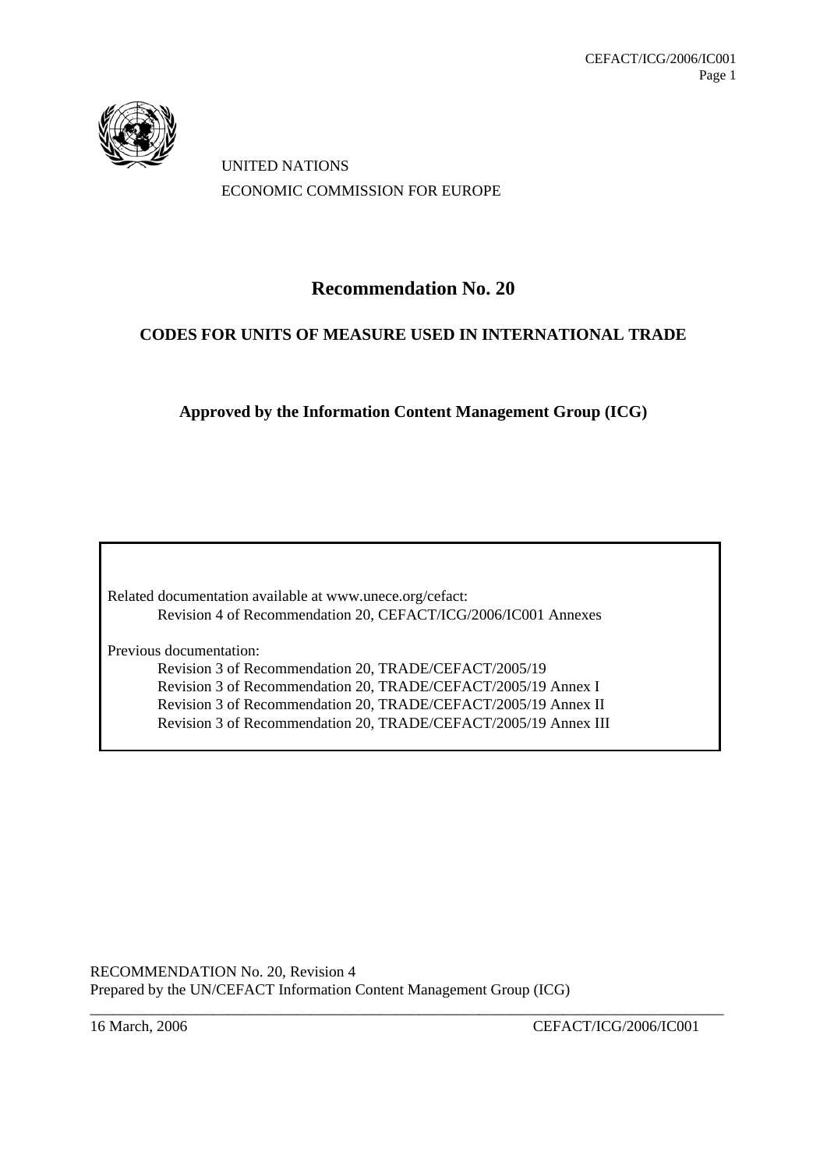

UNITED NATIONS ECONOMIC COMMISSION FOR EUROPE

# **Recommendation No. 20**

# **CODES FOR UNITS OF MEASURE USED IN INTERNATIONAL TRADE**

**Approved by the Information Content Management Group (ICG)** 

Related documentation available at www.unece.org/cefact: Revision 4 of Recommendation 20, CEFACT/ICG/2006/IC001 Annexes

Previous documentation:

Revision 3 of Recommendation 20, TRADE/CEFACT/2005/19 Revision 3 of Recommendation 20, TRADE/CEFACT/2005/19 Annex I Revision 3 of Recommendation 20, TRADE/CEFACT/2005/19 Annex II Revision 3 of Recommendation 20, TRADE/CEFACT/2005/19 Annex III

RECOMMENDATION No. 20*,* Revision 4 Prepared by the UN/CEFACT Information Content Management Group (ICG) \_\_\_\_\_\_\_\_\_\_\_\_\_\_\_\_\_\_\_\_\_\_\_\_\_\_\_\_\_\_\_\_\_\_\_\_\_\_\_\_\_\_\_\_\_\_\_\_\_\_\_\_\_\_\_\_\_\_\_\_\_\_\_\_\_\_\_\_\_\_\_\_\_\_\_\_\_\_\_\_\_\_\_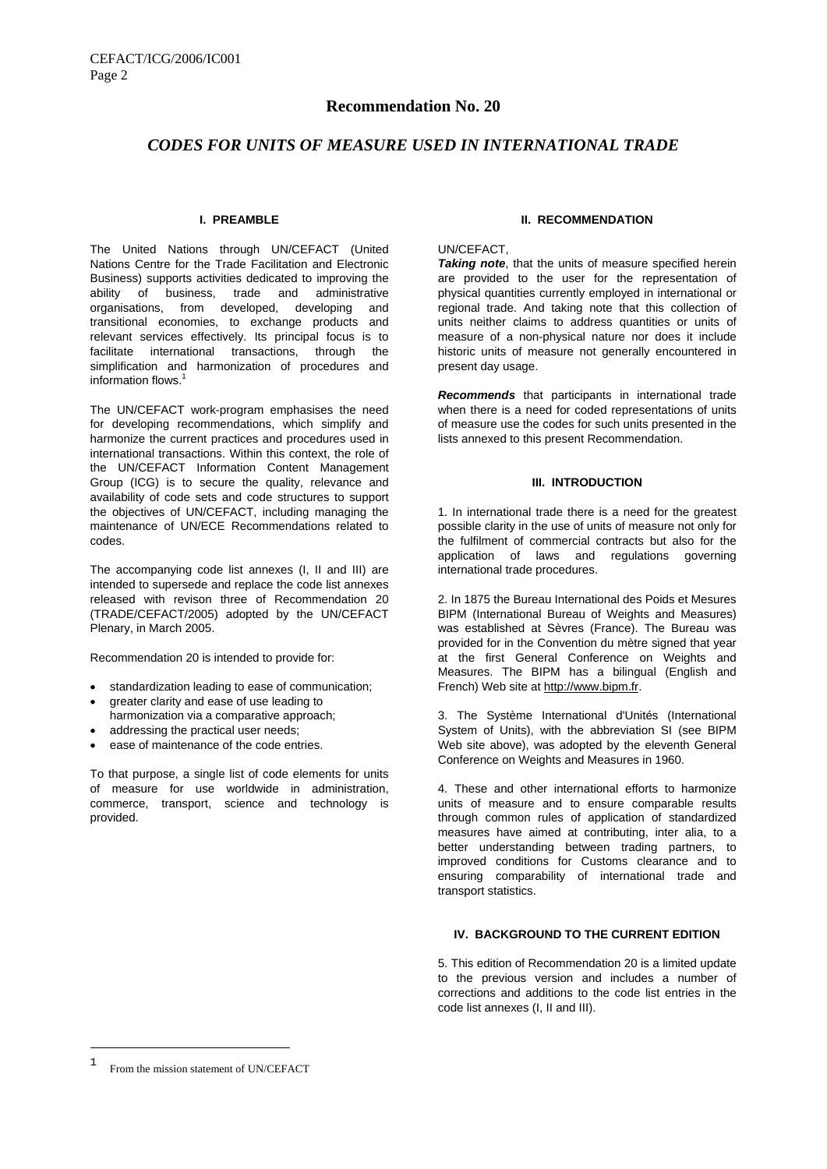# **Recommendation No. 20**

# *CODES FOR UNITS OF MEASURE USED IN INTERNATIONAL TRADE*

# **I. PREAMBLE**

The United Nations through UN/CEFACT (United Nations Centre for the Trade Facilitation and Electronic Business) supports activities dedicated to improving the ability of business, trade and administrative organisations, from developed, developing and transitional economies, to exchange products and relevant services effectively. Its principal focus is to facilitate international transactions, through the simplification and harmonization of procedures and information flows.

The UN/CEFACT work-program emphasises the need for developing recommendations, which simplify and harmonize the current practices and procedures used in international transactions. Within this context, the role of the UN/CEFACT Information Content Management Group (ICG) is to secure the quality, relevance and availability of code sets and code structures to support the objectives of UN/CEFACT, including managing the maintenance of UN/ECE Recommendations related to codes.

The accompanying code list annexes (I, II and III) are intended to supersede and replace the code list annexes released with revison three of Recommendation 20 (TRADE/CEFACT/2005) adopted by the UN/CEFACT Plenary, in March 2005.

Recommendation 20 is intended to provide for:

- standardization leading to ease of communication;
- greater clarity and ease of use leading to harmonization via a comparative approach;
- addressing the practical user needs;
- ease of maintenance of the code entries.

To that purpose, a single list of code elements for units of measure for use worldwide in administration, commerce, transport, science and technology is provided.

### **II. RECOMMENDATION**

#### UN/CEFACT,

*Taking note*, that the units of measure specified herein are provided to the user for the representation of physical quantities currently employed in international or regional trade. And taking note that this collection of units neither claims to address quantities or units of measure of a non-physical nature nor does it include historic units of measure not generally encountered in present day usage.

*Recommends* that participants in international trade when there is a need for coded representations of units of measure use the codes for such units presented in the lists annexed to this present Recommendation.

# **III. INTRODUCTION**

1. In international trade there is a need for the greatest possible clarity in the use of units of measure not only for the fulfilment of commercial contracts but also for the application of laws and regulations governing international trade procedures.

2. In 1875 the Bureau International des Poids et Mesures BIPM (International Bureau of Weights and Measures) was established at Sèvres (France). The Bureau was provided for in the Convention du mètre signed that year at the first General Conference on Weights and Measures. The BIPM has a bilingual (English and French) Web site at http://www.bipm.fr.

3. The Système International d'Unités (International System of Units), with the abbreviation SI (see BIPM Web site above), was adopted by the eleventh General Conference on Weights and Measures in 1960.

4. These and other international efforts to harmonize units of measure and to ensure comparable results through common rules of application of standardized measures have aimed at contributing, inter alia, to a better understanding between trading partners, to improved conditions for Customs clearance and to ensuring comparability of international trade and transport statistics.

# **IV. BACKGROUND TO THE CURRENT EDITION**

5. This edition of Recommendation 20 is a limited update to the previous version and includes a number of corrections and additions to the code list entries in the code list annexes (I, II and III).

 $\overline{\phantom{0}}$ 

<sup>1</sup> From the mission statement of UN/CEFACT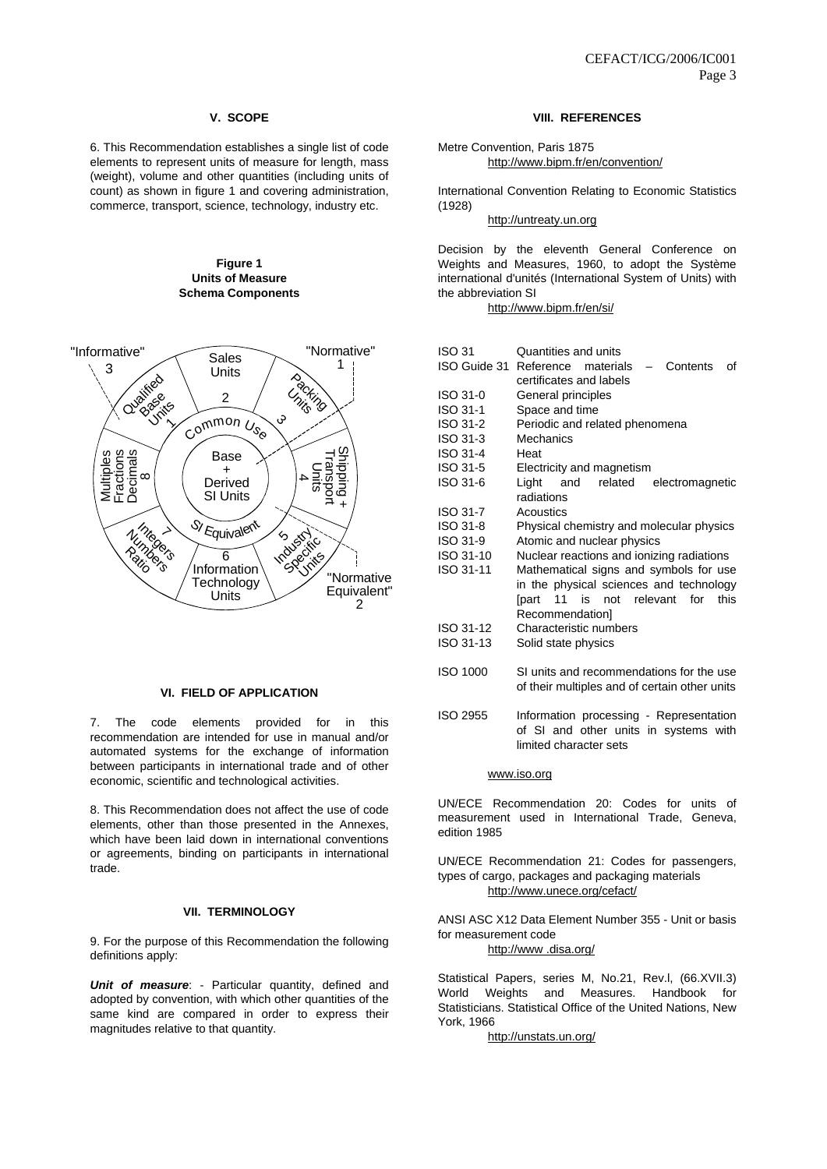# **V. SCOPE**

6. This Recommendation establishes a single list of code elements to represent units of measure for length, mass (weight), volume and other quantities (including units of count) as shown in figure 1 and covering administration, commerce, transport, science, technology, industry etc.

## **Figure 1 Units of Measure Schema Components**



#### **VI. FIELD OF APPLICATION**

7. The code elements provided for in this recommendation are intended for use in manual and/or automated systems for the exchange of information between participants in international trade and of other economic, scientific and technological activities.

8. This Recommendation does not affect the use of code elements, other than those presented in the Annexes, which have been laid down in international conventions or agreements, binding on participants in international trade.

#### **VII. TERMINOLOGY**

9. For the purpose of this Recommendation the following definitions apply:

*Unit of measure*: - Particular quantity, defined and adopted by convention, with which other quantities of the same kind are compared in order to express their magnitudes relative to that quantity.

# **VIII. REFERENCES**

Metre Convention, Paris 1875 http://www.bipm.fr/en/convention/

International Convention Relating to Economic Statistics (1928)

http://untreaty.un.org

Decision by the eleventh General Conference on Weights and Measures, 1960, to adopt the Système international d'unités (International System of Units) with the abbreviation SI

http://www.bipm.fr/en/si/

| ISO 31       | Quantities and units                                              |
|--------------|-------------------------------------------------------------------|
| ISO Guide 31 | Reference materials<br>Contents<br>οf<br>$\overline{\phantom{0}}$ |
|              | certificates and labels                                           |
| ISO 31-0     | General principles                                                |
| ISO 31-1     | Space and time                                                    |
| ISO 31-2     | Periodic and related phenomena                                    |
| ISO 31-3     | Mechanics                                                         |
| ISO 31-4     | Heat                                                              |
| ISO 31-5     | Electricity and magnetism                                         |
| ISO 31-6     | Liaht<br>and<br>related<br>electromagnetic                        |
|              | radiations                                                        |
| ISO 31-7     | Acoustics                                                         |
| ISO 31-8     | Physical chemistry and molecular physics                          |
| ISO 31-9     | Atomic and nuclear physics                                        |
| ISO 31-10    | Nuclear reactions and ionizing radiations                         |
| ISO 31-11    | Mathematical signs and symbols for use                            |
|              | in the physical sciences and technology                           |
|              | [part 11 is not relevant for<br>this                              |
|              | Recommendation]                                                   |
| ISO 31-12    | Characteristic numbers                                            |
| ISO 31-13    | Solid state physics                                               |
|              |                                                                   |
| ISO 1000     | SI units and recommendations for the use                          |
|              | of their multiples and of certain other units                     |
|              |                                                                   |
| ISO 2955     | Information processing - Representation                           |
|              | of SI and other units in systems with                             |
|              | limited character sets                                            |

www.iso.org

UN/ECE Recommendation 20: Codes for units of measurement used in International Trade, Geneva, edition 1985

UN/ECE Recommendation 21: Codes for passengers, types of cargo, packages and packaging materials http://www.unece.org/cefact/

ANSI ASC X12 Data Element Number 355 - Unit or basis for measurement code

http://www .disa.org/

Statistical Papers, series M, No.21, Rev.l, (66.XVII.3) World Weights and Measures. Handbook for Statisticians. Statistical Office of the United Nations, New York, 1966

http://unstats.un.org/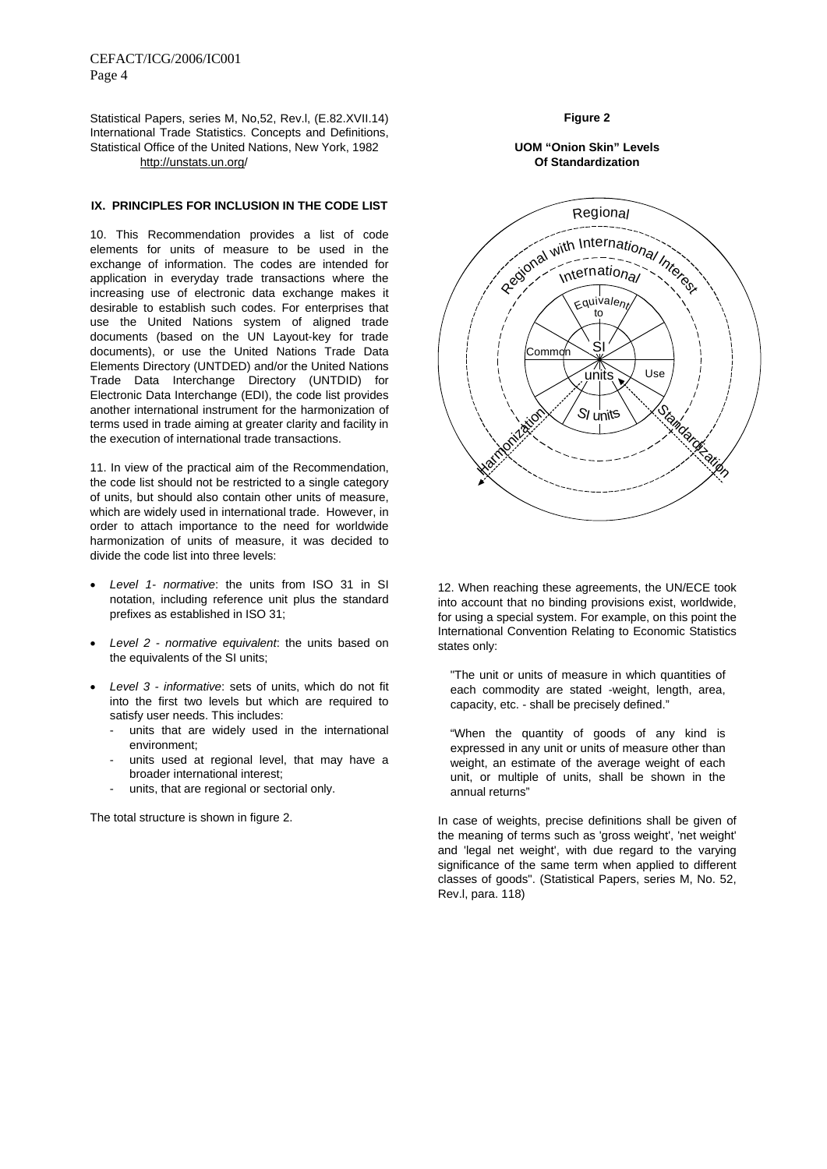Statistical Papers, series M, No,52, Rev.l, (E.82.XVII.14) International Trade Statistics. Concepts and Definitions, Statistical Office of the United Nations, New York, 1982 http://unstats.un.org/

# **IX. PRINCIPLES FOR INCLUSION IN THE CODE LIST**

10. This Recommendation provides a list of code elements for units of measure to be used in the exchange of information. The codes are intended for application in everyday trade transactions where the increasing use of electronic data exchange makes it desirable to establish such codes. For enterprises that use the United Nations system of aligned trade documents (based on the UN Layout-key for trade documents), or use the United Nations Trade Data Elements Directory (UNTDED) and/or the United Nations Trade Data Interchange Directory (UNTDID) for Electronic Data Interchange (EDI), the code list provides another international instrument for the harmonization of terms used in trade aiming at greater clarity and facility in the execution of international trade transactions.

11. In view of the practical aim of the Recommendation, the code list should not be restricted to a single category of units, but should also contain other units of measure, which are widely used in international trade. However, in order to attach importance to the need for worldwide harmonization of units of measure, it was decided to divide the code list into three levels:

- *Level 1- normative*: the units from ISO 31 in SI notation, including reference unit plus the standard prefixes as established in ISO 31;
- *Level 2 normative equivalent*: the units based on the equivalents of the SI units;
- *Level 3 informative*: sets of units, which do not fit into the first two levels but which are required to satisfy user needs. This includes:
	- units that are widely used in the international environment;
	- units used at regional level, that may have a broader international interest;
	- units, that are regional or sectorial only.

The total structure is shown in figure 2.

# **Figure 2**

# **UOM "Onion Skin" Levels Of Standardization**



12. When reaching these agreements, the UN/ECE took into account that no binding provisions exist, worldwide, for using a special system. For example, on this point the International Convention Relating to Economic Statistics states only:

"The unit or units of measure in which quantities of each commodity are stated -weight, length, area, capacity, etc. - shall be precisely defined."

"When the quantity of goods of any kind is expressed in any unit or units of measure other than weight, an estimate of the average weight of each unit, or multiple of units, shall be shown in the annual returns"

In case of weights, precise definitions shall be given of the meaning of terms such as 'gross weight', 'net weight' and 'legal net weight', with due regard to the varying significance of the same term when applied to different classes of goods". (Statistical Papers, series M, No. 52, Rev.l, para. 118)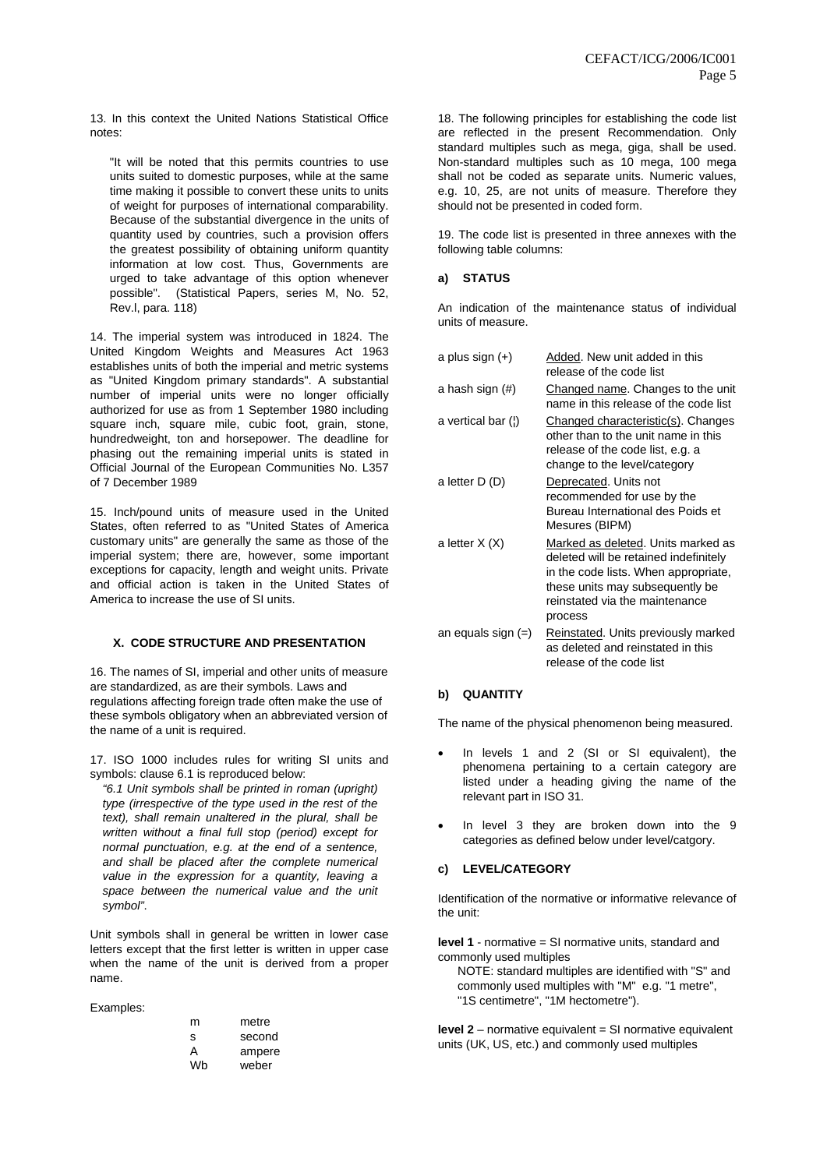13. In this context the United Nations Statistical Office notes:

"It will be noted that this permits countries to use units suited to domestic purposes, while at the same time making it possible to convert these units to units of weight for purposes of international comparability. Because of the substantial divergence in the units of quantity used by countries, such a provision offers the greatest possibility of obtaining uniform quantity information at low cost. Thus, Governments are urged to take advantage of this option whenever possible". (Statistical Papers, series M, No. 52, Rev.l, para. 118)

14. The imperial system was introduced in 1824. The United Kingdom Weights and Measures Act 1963 establishes units of both the imperial and metric systems as "United Kingdom primary standards". A substantial number of imperial units were no longer officially authorized for use as from 1 September 1980 including square inch, square mile, cubic foot, grain, stone, hundredweight, ton and horsepower. The deadline for phasing out the remaining imperial units is stated in Official Journal of the European Communities No. L357 of 7 December 1989

15. Inch/pound units of measure used in the United States, often referred to as "United States of America customary units" are generally the same as those of the imperial system; there are, however, some important exceptions for capacity, length and weight units. Private and official action is taken in the United States of America to increase the use of SI units.

#### **X. CODE STRUCTURE AND PRESENTATION**

16. The names of SI, imperial and other units of measure are standardized, as are their symbols. Laws and regulations affecting foreign trade often make the use of these symbols obligatory when an abbreviated version of the name of a unit is required.

17. ISO 1000 includes rules for writing SI units and symbols: clause 6.1 is reproduced below:

*"6.1 Unit symbols shall be printed in roman (upright) type (irrespective of the type used in the rest of the text), shall remain unaltered in the plural, shall be written without a final full stop (period) except for normal punctuation, e.g. at the end of a sentence, and shall be placed after the complete numerical value in the expression for a quantity, leaving a space between the numerical value and the unit symbol"*.

Unit symbols shall in general be written in lower case letters except that the first letter is written in upper case when the name of the unit is derived from a proper name.

Examples:

| m  | metre  |
|----|--------|
| s  | second |
| А  | ampere |
| Wb | weber  |

18. The following principles for establishing the code list are reflected in the present Recommendation. Only standard multiples such as mega, giga, shall be used. Non-standard multiples such as 10 mega, 100 mega shall not be coded as separate units. Numeric values, e.g. 10, 25, are not units of measure. Therefore they should not be presented in coded form.

19. The code list is presented in three annexes with the following table columns:

#### **a) STATUS**

An indication of the maintenance status of individual units of measure.

| a plus sign $(+)$    | Added. New unit added in this<br>release of the code list                                                                                                                                           |
|----------------------|-----------------------------------------------------------------------------------------------------------------------------------------------------------------------------------------------------|
| a hash sign (#)      | Changed name. Changes to the unit<br>name in this release of the code list                                                                                                                          |
| a vertical bar (;)   | Changed characteristic(s). Changes<br>other than to the unit name in this<br>release of the code list, e.g. a<br>change to the level/category                                                       |
| a letter D (D)       | Deprecated. Units not<br>recommended for use by the<br>Bureau International des Poids et<br>Mesures (BIPM)                                                                                          |
| a letter $X(X)$      | Marked as deleted. Units marked as<br>deleted will be retained indefinitely<br>in the code lists. When appropriate,<br>these units may subsequently be<br>reinstated via the maintenance<br>process |
| an equals sign $(=)$ | Reinstated. Units previously marked<br>as deleted and reinstated in this<br>release of the code list                                                                                                |

# **b) QUANTITY**

The name of the physical phenomenon being measured.

- In levels 1 and 2 (SI or SI equivalent), the phenomena pertaining to a certain category are listed under a heading giving the name of the relevant part in ISO 31.
- In level 3 they are broken down into the 9 categories as defined below under level/catgory.

# **c) LEVEL/CATEGORY**

Identification of the normative or informative relevance of the unit:

**level 1** - normative = SI normative units, standard and commonly used multiples

NOTE: standard multiples are identified with "S" and commonly used multiples with "M" e.g. "1 metre", "1S centimetre", "1M hectometre").

**level 2** – normative equivalent = SI normative equivalent units (UK, US, etc.) and commonly used multiples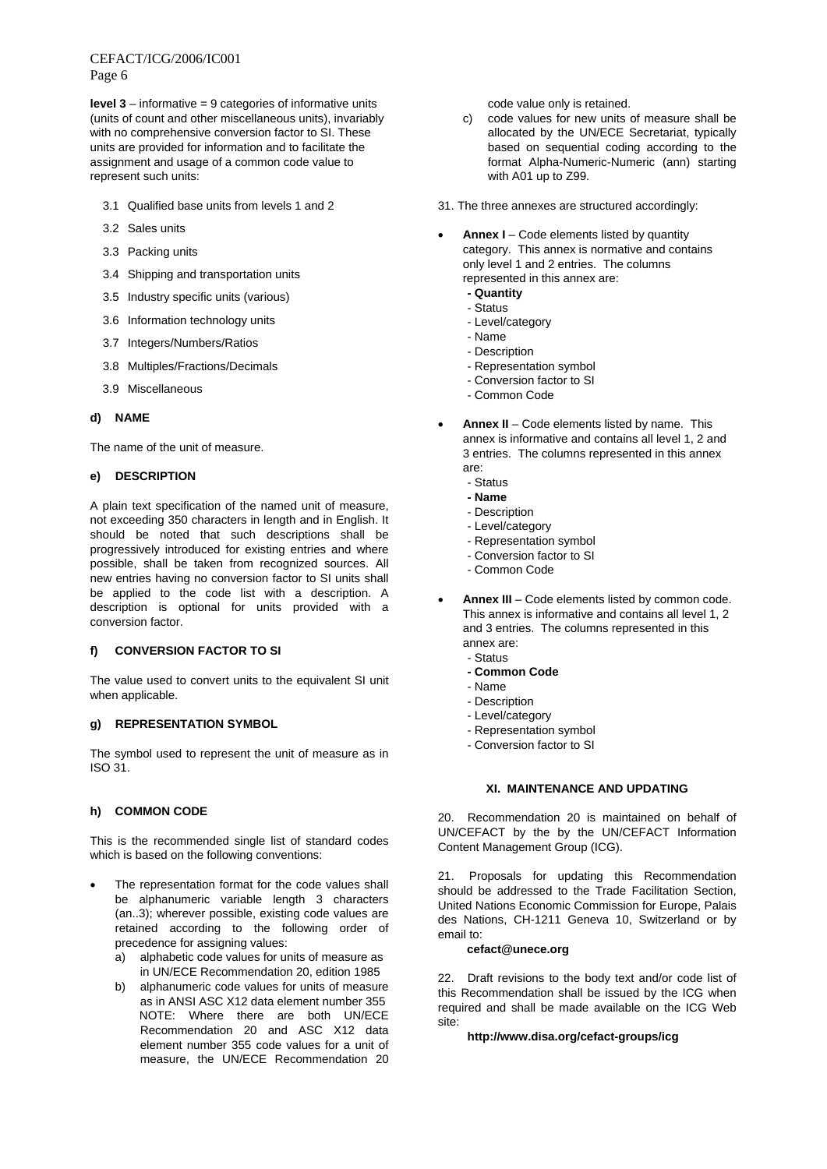CEFACT/ICG/2006/IC001 Page 6

**level 3** – informative = 9 categories of informative units (units of count and other miscellaneous units), invariably with no comprehensive conversion factor to SI. These units are provided for information and to facilitate the assignment and usage of a common code value to represent such units:

- 3.1 Qualified base units from levels 1 and 2
- 3.2 Sales units
- 3.3 Packing units
- 3.4 Shipping and transportation units
- 3.5 Industry specific units (various)
- 3.6 Information technology units
- 3.7 Integers/Numbers/Ratios
- 3.8 Multiples/Fractions/Decimals
- 3.9 Miscellaneous

# **d) NAME**

The name of the unit of measure.

### **e) DESCRIPTION**

A plain text specification of the named unit of measure, not exceeding 350 characters in length and in English. It should be noted that such descriptions shall be progressively introduced for existing entries and where possible, shall be taken from recognized sources. All new entries having no conversion factor to SI units shall be applied to the code list with a description. A description is optional for units provided with a conversion factor.

# **f) CONVERSION FACTOR TO SI**

The value used to convert units to the equivalent SI unit when applicable.

# **g) REPRESENTATION SYMBOL**

The symbol used to represent the unit of measure as in ISO 31.

# **h) COMMON CODE**

This is the recommended single list of standard codes which is based on the following conventions:

- The representation format for the code values shall be alphanumeric variable length 3 characters (an..3); wherever possible, existing code values are retained according to the following order of precedence for assigning values:
	- a) alphabetic code values for units of measure as in UN/ECE Recommendation 20, edition 1985
	- b) alphanumeric code values for units of measure as in ANSI ASC X12 data element number 355 NOTE: Where there are both UN/ECE Recommendation 20 and ASC X12 data element number 355 code values for a unit of measure, the UN/ECE Recommendation 20

code value only is retained.

- c) code values for new units of measure shall be allocated by the UN/ECE Secretariat, typically based on sequential coding according to the format Alpha-Numeric-Numeric (ann) starting with A01 up to Z99.
- 31. The three annexes are structured accordingly:
- **Annex I** Code elements listed by quantity category. This annex is normative and contains only level 1 and 2 entries. The columns represented in this annex are:
	- **Quantity**
	- Status
	- Level/category
	- Name
	- Description
	- Representation symbol
	- Conversion factor to SI
	- Common Code
- **Annex II** Code elements listed by name. This annex is informative and contains all level 1, 2 and 3 entries. The columns represented in this annex are:
	- Status
	- **Name**
	- Description
	- Level/category
	- Representation symbol
	- Conversion factor to SI
	- Common Code
- **Annex III** Code elements listed by common code. This annex is informative and contains all level 1, 2 and 3 entries. The columns represented in this annex are:
	- Status
	- **Common Code**
	- Name
	- Description
	- Level/category
	- Representation symbol
	- Conversion factor to SI

# **XI. MAINTENANCE AND UPDATING**

20. Recommendation 20 is maintained on behalf of UN/CEFACT by the by the UN/CEFACT Information Content Management Group (ICG).

21. Proposals for updating this Recommendation should be addressed to the Trade Facilitation Section, United Nations Economic Commission for Europe, Palais des Nations, CH-1211 Geneva 10, Switzerland or by email to:

# **cefact@unece.org**

22. Draft revisions to the body text and/or code list of this Recommendation shall be issued by the ICG when required and shall be made available on the ICG Web site:

## **http://www.disa.org/cefact-groups/icg**